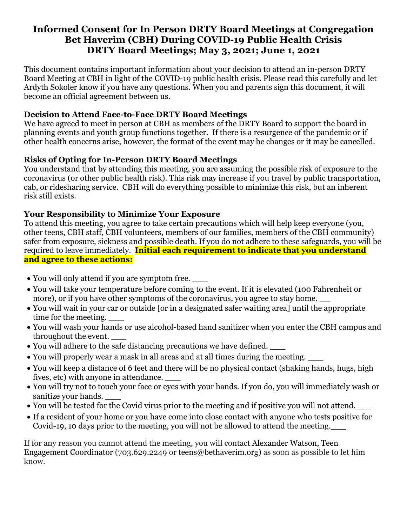# **Informed Consent for In Person DRTY Board Meetings at Congregation Bet Haverim (CBH) During COVID-19 Public Health Crisis DRTY Board Meetings; May 3, 2021; June 1, 2021**

This document contains important information about your decision to attend an in-person DRTY Board Meeting at CBH in light of the COVID-19 public health crisis. Please read this carefully and let Ardyth Sokoler know if you have any questions. When you and parents sign this document, it will become an official agreement between us.

# **Decision to Attend Face-to-Face DRTY Board Meetings**

We have agreed to meet in person at CBH as members of the DRTY Board to support the board in planning events and youth group functions together. If there is a resurgence of the pandemic or if other health concerns arise, however, the format of the event may be changes or it may be cancelled.

# **Risks of Opting for In-Person DRTY Board Meetings**

You understand that by attending this meeting, you are assuming the possible risk of exposure to the coronavirus (or other public health risk). This risk may increase if you travel by public transportation, cab, or ridesharing service. CBH will do everything possible to minimize this risk, but an inherent risk still exists.

# **Your Responsibility to Minimize Your Exposure**

To attend this meeting, you agree to take certain precautions which will help keep everyone (you, other teens, CBH staff, CBH volunteers, members of our families, members of the CBH community) safer from exposure, sickness and possible death. If you do not adhere to these safeguards, you will be required to leave immediately. **Initial each requirement to indicate that you understand and agree to these actions:**

- You will only attend if you are symptom free.
- You will take your temperature before coming to the event. If it is elevated (100 Fahrenheit or more), or if you have other symptoms of the coronavirus, you agree to stay home.
- You will wait in your car or outside [or in a designated safer waiting area] until the appropriate time for the meeting.
- You will wash your hands or use alcohol-based hand sanitizer when you enter the CBH campus and throughout the event. \_\_\_
- You will adhere to the safe distancing precautions we have defined.
- You will properly wear a mask in all areas and at all times during the meeting.
- You will keep a distance of 6 feet and there will be no physical contact (shaking hands, hugs, high fives, etc) with anyone in attendance. \_\_\_
- You will try not to touch your face or eyes with your hands. If you do, you will immediately wash or sanitize your hands.
- You will be tested for the Covid virus prior to the meeting and if positive you will not attend.
- If a resident of your home or you have come into close contact with anyone who tests positive for Covid-19, 10 days prior to the meeting, you will not be allowed to attend the meeting.\_\_\_

If for any reason you cannot attend the meeting, you will contact Alexander Watson, Teen Engagement Coordinator (703.629.2249 or [teens@bethaverim.org\)](mailto:teens@bethaverim.org) as soon as possible to let him know.